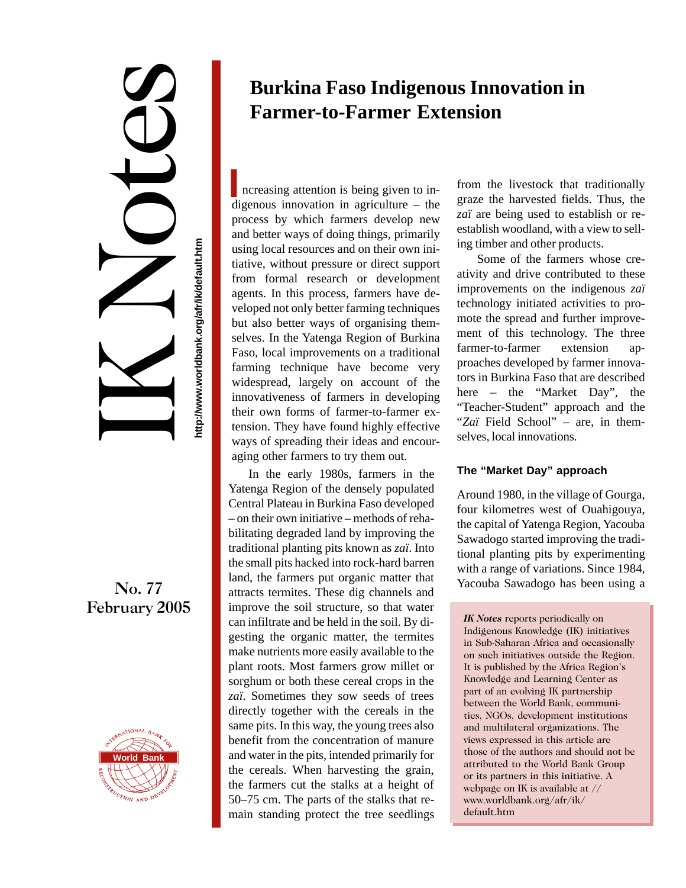IK Notes ttp://www.worldbank.org/afr/ik/default.htm

**http://www.worldbank.org/afr/ik/default.htm**

## No. 77 February 2005



# **Burkina Faso Indigenous Innovation in Farmer-to-Farmer Extension**

**I** ncreasing attention is being given to indigenous innovation in agriculture – the process by which farmers develop new and better ways of doing things, primarily using local resources and on their own initiative, without pressure or direct support from formal research or development agents. In this process, farmers have developed not only better farming techniques but also better ways of organising themselves. In the Yatenga Region of Burkina Faso, local improvements on a traditional farming technique have become very widespread, largely on account of the innovativeness of farmers in developing their own forms of farmer-to-farmer extension. They have found highly effective ways of spreading their ideas and encouraging other farmers to try them out.

In the early 1980s, farmers in the Yatenga Region of the densely populated Central Plateau in Burkina Faso developed – on their own initiative – methods of rehabilitating degraded land by improving the traditional planting pits known as *zaï*. Into the small pits hacked into rock-hard barren land, the farmers put organic matter that attracts termites. These dig channels and improve the soil structure, so that water can infiltrate and be held in the soil. By digesting the organic matter, the termites make nutrients more easily available to the plant roots. Most farmers grow millet or sorghum or both these cereal crops in the *zaï*. Sometimes they sow seeds of trees directly together with the cereals in the same pits. In this way, the young trees also benefit from the concentration of manure and water in the pits, intended primarily for the cereals. When harvesting the grain, the farmers cut the stalks at a height of 50–75 cm. The parts of the stalks that remain standing protect the tree seedlings

from the livestock that traditionally graze the harvested fields. Thus, the *zaï* are being used to establish or reestablish woodland, with a view to selling timber and other products.

Some of the farmers whose creativity and drive contributed to these improvements on the indigenous *zaï* technology initiated activities to promote the spread and further improvement of this technology. The three farmer-to-farmer extension approaches developed by farmer innovators in Burkina Faso that are described here – the "Market Day", the "Teacher-Student" approach and the "*Zaï* Field School" – are, in themselves, local innovations.

### **The "Market Day" approach**

Around 1980, in the village of Gourga, four kilometres west of Ouahigouya, the capital of Yatenga Region, Yacouba Sawadogo started improving the traditional planting pits by experimenting with a range of variations. Since 1984, Yacouba Sawadogo has been using a

*IK Notes* reports periodically on Indigenous Knowledge (IK) initiatives in Sub-Saharan Africa and occasionally on such initiatives outside the Region. It is published by the Africa Region's Knowledge and Learning Center as part of an evolving IK partnership between the World Bank, communities, NGOs, development institutions and multilateral organizations. The views expressed in this article are those of the authors and should not be attributed to the World Bank Group or its partners in this initiative. A webpage on IK is available at // www.worldbank.org/afr/ik/ default.htm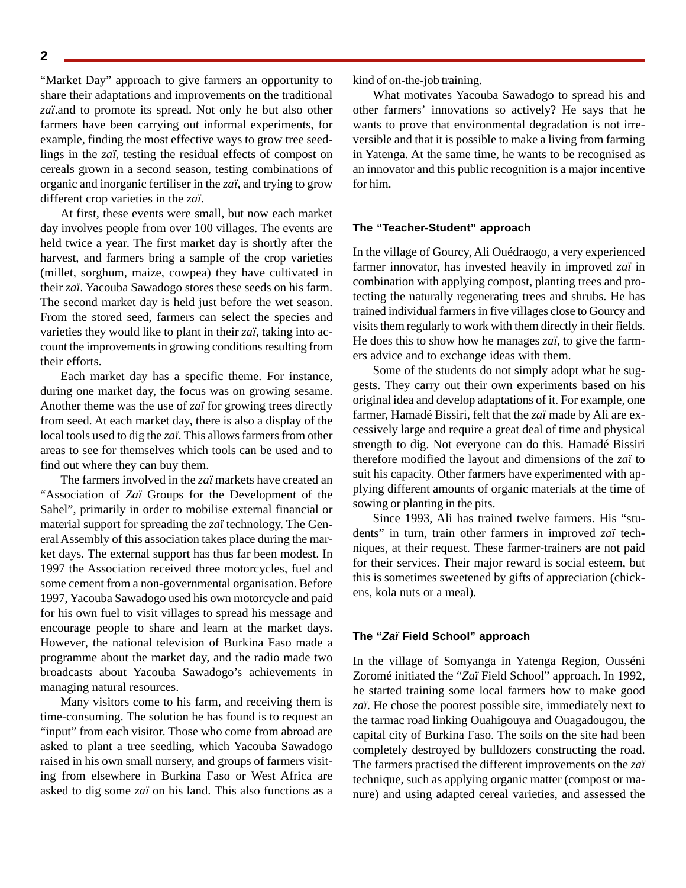"Market Day" approach to give farmers an opportunity to share their adaptations and improvements on the traditional *zaï*.and to promote its spread. Not only he but also other farmers have been carrying out informal experiments, for example, finding the most effective ways to grow tree seedlings in the *zaï*, testing the residual effects of compost on cereals grown in a second season, testing combinations of organic and inorganic fertiliser in the *zaï*, and trying to grow different crop varieties in the *zaï*.

At first, these events were small, but now each market day involves people from over 100 villages. The events are held twice a year. The first market day is shortly after the harvest, and farmers bring a sample of the crop varieties (millet, sorghum, maize, cowpea) they have cultivated in their *zaï*. Yacouba Sawadogo stores these seeds on his farm. The second market day is held just before the wet season. From the stored seed, farmers can select the species and varieties they would like to plant in their *zaï*, taking into account the improvements in growing conditions resulting from their efforts.

Each market day has a specific theme. For instance, during one market day, the focus was on growing sesame. Another theme was the use of *zaï* for growing trees directly from seed. At each market day, there is also a display of the local tools used to dig the *zaï*. This allows farmers from other areas to see for themselves which tools can be used and to find out where they can buy them.

The farmers involved in the *zaï* markets have created an "Association of *Zaï* Groups for the Development of the Sahel", primarily in order to mobilise external financial or material support for spreading the *zaï* technology. The General Assembly of this association takes place during the market days. The external support has thus far been modest. In 1997 the Association received three motorcycles, fuel and some cement from a non-governmental organisation. Before 1997, Yacouba Sawadogo used his own motorcycle and paid for his own fuel to visit villages to spread his message and encourage people to share and learn at the market days. However, the national television of Burkina Faso made a programme about the market day, and the radio made two broadcasts about Yacouba Sawadogo's achievements in managing natural resources.

Many visitors come to his farm, and receiving them is time-consuming. The solution he has found is to request an "input" from each visitor. Those who come from abroad are asked to plant a tree seedling, which Yacouba Sawadogo raised in his own small nursery, and groups of farmers visiting from elsewhere in Burkina Faso or West Africa are asked to dig some *zaï* on his land. This also functions as a kind of on-the-job training.

What motivates Yacouba Sawadogo to spread his and other farmers' innovations so actively? He says that he wants to prove that environmental degradation is not irreversible and that it is possible to make a living from farming in Yatenga. At the same time, he wants to be recognised as an innovator and this public recognition is a major incentive for him.

#### **The "Teacher-Student" approach**

In the village of Gourcy, Ali Ouédraogo, a very experienced farmer innovator, has invested heavily in improved *zaï* in combination with applying compost, planting trees and protecting the naturally regenerating trees and shrubs. He has trained individual farmers in five villages close to Gourcy and visits them regularly to work with them directly in their fields. He does this to show how he manages *zaï*, to give the farmers advice and to exchange ideas with them.

Some of the students do not simply adopt what he suggests. They carry out their own experiments based on his original idea and develop adaptations of it. For example, one farmer, Hamadé Bissiri, felt that the *zaï* made by Ali are excessively large and require a great deal of time and physical strength to dig. Not everyone can do this. Hamadé Bissiri therefore modified the layout and dimensions of the *zaï* to suit his capacity. Other farmers have experimented with applying different amounts of organic materials at the time of sowing or planting in the pits.

Since 1993, Ali has trained twelve farmers. His "students" in turn, train other farmers in improved *zaï* techniques, at their request. These farmer-trainers are not paid for their services. Their major reward is social esteem, but this is sometimes sweetened by gifts of appreciation (chickens, kola nuts or a meal).

#### **The "Zaï Field School" approach**

In the village of Somyanga in Yatenga Region, Ousséni Zoromé initiated the "*Zaï* Field School" approach. In 1992, he started training some local farmers how to make good *zaï*. He chose the poorest possible site, immediately next to the tarmac road linking Ouahigouya and Ouagadougou, the capital city of Burkina Faso. The soils on the site had been completely destroyed by bulldozers constructing the road. The farmers practised the different improvements on the *zaï* technique, such as applying organic matter (compost or manure) and using adapted cereal varieties, and assessed the